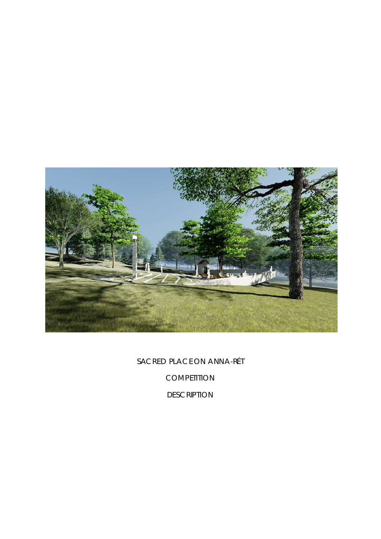

SACRED PLACE ON ANNA-RÉT **COMPETITION** 

DESCRIPTION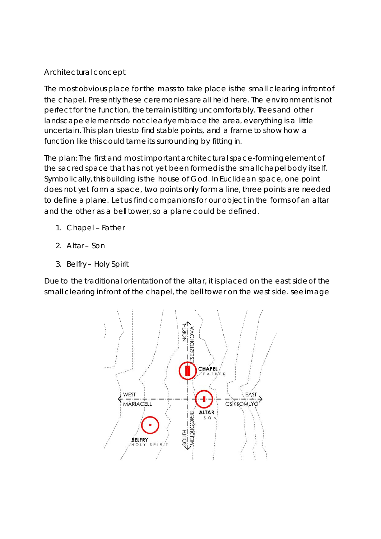## Architectural concept

The most obvious place for the mass to take place is the small clearing in front of the chapel. Presently these ceremonies are all held here. The environment is not perfect for the function, the terrain is tilting uncomfortably. Trees and other landscape elements do not clearly embrace the area, everything is a little uncertain. This plan tries to find stable points, and a frame to show how a function like this could tame its surrounding by fitting in.

The plan: The first and most important architectural space-forming element of the sacred space that has not yet been formed is the small chapel body itself. Symbolically, this building is the house of God. In Euclidean space, one point does not yet form a space, two points only form a line, three points are needed to define a plane. Let us find companions for our object in the forms of an altar and the other as a bell tower, so a plane could be defined.

- 1. Chapel Father
- 2. Altar Son
- 3. Belfry Holy Spirit

Due to the traditional orientation of the altar, it is placed on the east side of the small clearing infront of the chapel, the bell tower on the west side. see image

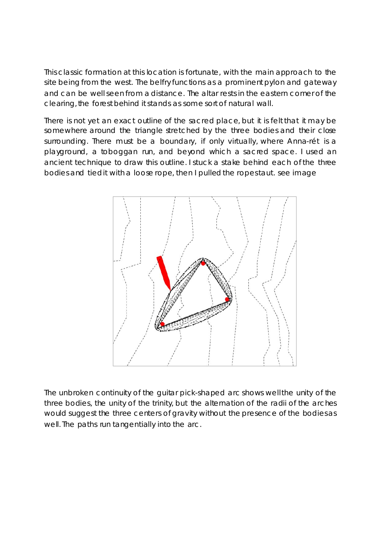This classic formation at this location is fortunate, with the main approach to the site being from the west. The belfry functions as a prominent pylon and gateway and can be well seen from a distance. The altar rests in the eastern corner of the clearing, the forest behind it stands as some sort of natural wall.

There is not yet an exact outline of the sacred place, but it is felt that it may be somewhere around the triangle stretched by the three bodies and their close surrounding. There must be a boundary, if only virtually, where Anna-rét is a playground, a toboggan run, and beyond which a sacred space. I used an ancient technique to draw this outline. I stuck a stake behind each of the three bodies and tied it with a loose rope, then I pulled the ropestaut. see image



The unbroken continuity of the guitar pick-shaped arc shows well the unity of the three bodies, the unity of the trinity, but the alternation of the radii of the arches would suggest the three centers of gravity without the presence of the bodies as well. The paths run tangentially into the arc.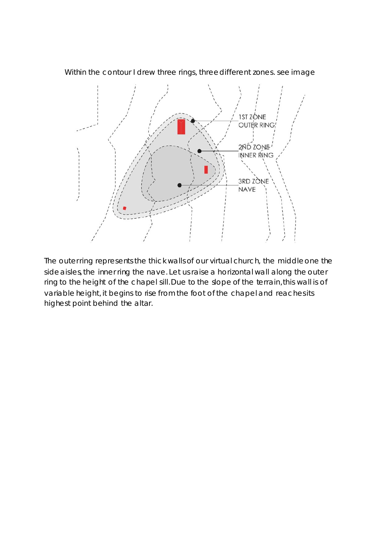

Within the contour I drew three rings, three different zones. see image

The outer ring represents the thick walls of our virtual church, the middle one the side aisles, the inner ring the nave. Let us raise a horizontal wall along the outer ring to the height of the chapel sill. Due to the slope of the terrain, this wall is of variable height, it begins to rise from the foot of the chapel and reaches its highest point behind the altar.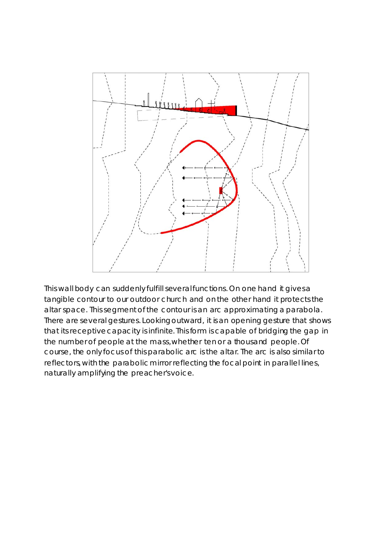

This wall body can suddenly fulfill several functions. On one hand it gives a tangible contour to our outdoor church and on the other hand it protects the altar space. This segment of the contour is an arc approximating a parabola. There are several gestures. Looking outward, it is an opening gesture that shows that its receptive capacity is infinite. This form is capable of bridging the gap in the number of people at the mass, whether ten or a thousand people. Of course, the only focus of this parabolic arc is the altar. The arc is also similar to reflectors, with the parabolic mirror reflecting the focal point in parallel lines, naturally amplifying the preacher's voice.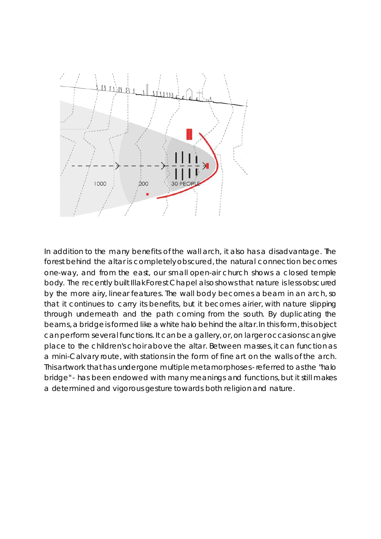

In addition to the many benefits of the wall arch, it also has a disadvantage. The forest behind the altar is completely obscured, the natural connection becomes one-way, and from the east, our small open-air church shows a closed temple body. The recently built Illak Forest Chapel also shows that nature is less obscured by the more airy, linear features. The wall body becomes a beam in an arch, so that it continues to carry its benefits, but it becomes airier, with nature slipping through underneath and the path coming from the south. By duplicating the beams, a bridge is formed like a white halo behind the altar. In this form, this object can perform several functions. It can be a gallery, or, on larger occasions can give place to the children's choir above the altar. Between masses, it can function as a mini-Calvary route, with stations in the form of fine art on the walls of the arch. This artwork that has undergone multiple metamorphoses - referred to as the "halo bridge" - has been endowed with many meanings and functions, but it still makes a determined and vigorous gesture towards both religion and nature.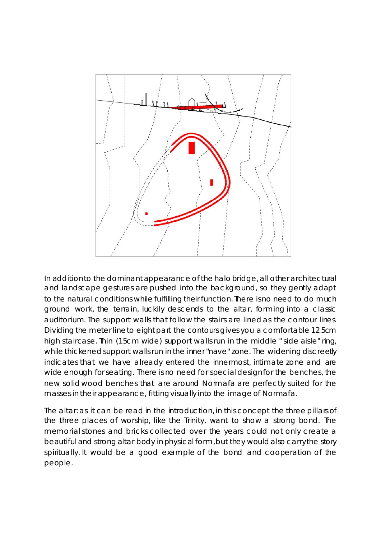

In addition to the dominant appearance of the halo bridge, all other architectural and landscape gestures are pushed into the background, so they gently adapt to the natural conditions while fulfilling their function. There is no need to do much ground work, the terrain, luckily descends to the altar, forming into a classic auditorium. The support walls that follow the stairs are lined as the contour lines. Dividing the meter line to eight part the contours gives you a comfortable 12.5cm high staircase. Thin (15cm wide) support walls run in the middle " side aisle" ring, while thickened support walls run in the inner "nave" zone. The widening discreetly indicates that we have already entered the innermost, intimate zone and are wide enough for seating. There is no need for special design for the benches, the new solid wood benches that are around Normafa are perfectly suited for the masses in their appearance, fitting visually into the image of Normafa.

The altar: as it can be read in the introduction, in this concept the three pillars of the three places of worship, like the Trinity, want to show a strong bond. The memorial stones and bricks collected over the years could not only create a beautiful and strong altar body in physical form, but they would also carry the story spiritually. It would be a good example of the bond and cooperation of the people.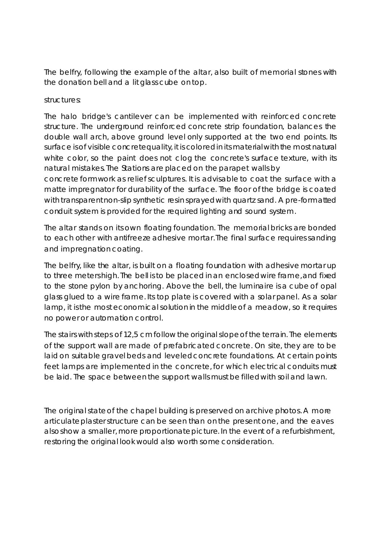The belfry, following the example of the altar, also built of memorial stones with the donation bell and a lit glass cube on top.

## structures:

The halo bridge's cantilever can be implemented with reinforced concrete structure. The underground reinforced concrete strip foundation, balances the double wall arch, above ground level only supported at the two end points. Its surface is of visible concrete quality, it is colored in its material with the most natural white color, so the paint does not clog the concrete's surface texture, with its natural mistakes. The Stations are placed on the parapet walls by

concrete formwork as relief sculptures. It is advisable to coat the surface with a matte impregnator for durability of the surface. The floor of the bridge is coated with transparent non-slip synthetic resin sprayed with quartz sand. A pre-form atted conduit system is provided for the required lighting and sound system.

The altar stands on its own floating foundation. The memorial bricks are bonded to each other with antifreeze adhesive mortar. The final surface requires sanding and impregnation coating.

The belfry, like the altar, is built on a floating foundation with adhesive mortar up to three meters high. The bell is to be placed in an enclosed wire frame, and fixed to the stone pylon by anchoring. Above the bell, the luminaire is a cube of opal glass glued to a wire frame. Its top plate is covered with a solar panel. As a solar lamp, it is the most economical solution in the middle of a meadow, so it requires no power or automation control.

The stairs with steps of 12,5 cm follow the original slope of the terrain. The elements of the support wall are made of prefabricated concrete. On site, they are to be laid on suitable gravel beds and leveled concrete foundations. At certain points feet lamps are implemented in the concrete, for which electrical conduits must be laid. The space between the support walls must be filled with soil and lawn.

The original state of the chapel building is preserved on archive photos. A more articulate plaster structure can be seen than on the present one, and the eaves also show a smaller, more proportionate picture. In the event of a refurbishment, restoring the original look would also worth some consideration.